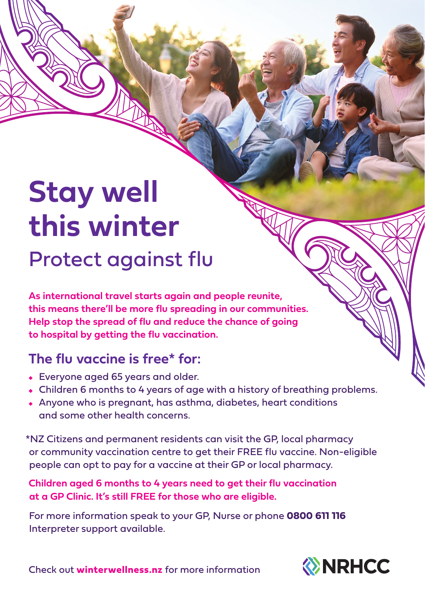## **Stay well this winter**

Protect against flu

**As international travel starts again and people reunite, this means there'll be more flu spreading in our communities. Help stop the spread of flu and reduce the chance of going to hospital by getting the flu vaccination.** 

## **The flu vaccine is free\* for:**

- Everyone aged 65 years and older.
- Children 6 months to 4 years of age with a history of breathing problems.
- Anyone who is pregnant, has asthma, diabetes, heart conditions and some other health concerns.

\*NZ Citizens and permanent residents can visit the GP, local pharmacy or community vaccination centre to get their FREE flu vaccine. Non-eligible people can opt to pay for a vaccine at their GP or local pharmacy.

**Children aged 6 months to 4 years need to get their flu vaccination at a GP Clinic. It's still FREE for those who are eligible.**

For more information speak to your GP, Nurse or phone **0800 611 116** Interpreter support available.